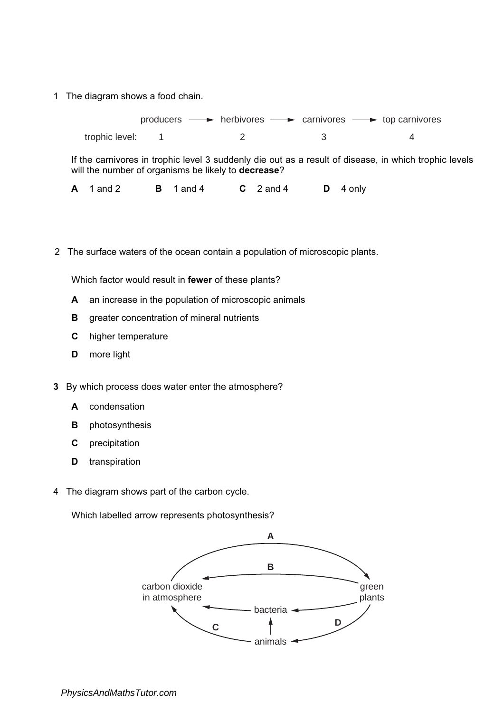trophic level: producers  $\longrightarrow$  herbivores  $\longrightarrow$  carnivores  $\longrightarrow$  top carnivores 1 2 3 4

If the carnivores in trophic level 3 suddenly die out as a result of disease, in which trophic levels will the number of organisms be likely to **decrease**?

A 1 and 2 B 1 and 4 C 2 and 4 D 4 only

2 The surface waters of the ocean contain a population of microscopic plants.

Which factor would result in fewer of these plants?

- A an increase in the population of microscopic animals
- **B** greater concentration of mineral nutrients
- C higher temperature
- D more light
- 3 By which process does water enter the atmosphere?
	- A condensation
	- **B** photosynthesis
	- C precipitation
	- D transpiration
- 4 The diagram shows part of the carbon cycle.

Which labelled arrow represents photosynthesis?

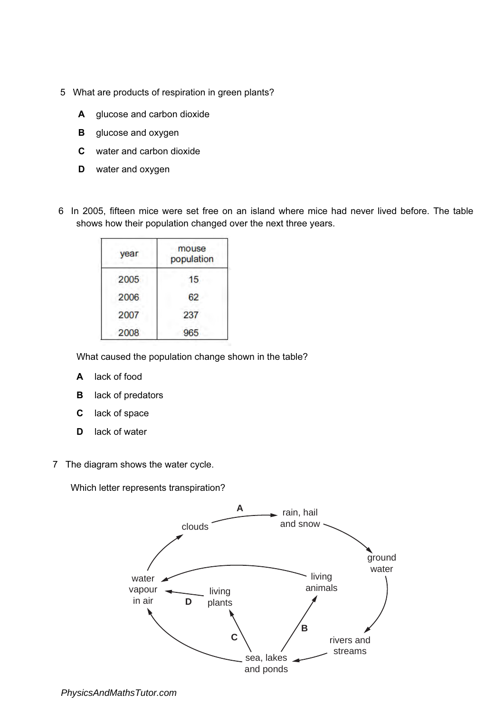- 5 What are products of respiration in green plants?
	- A glucose and carbon dioxide
	- **B** glucose and oxygen
	- C water and carbon dioxide
	- D water and oxygen
- 6 In 2005, fifteen mice were set free on an island where mice had never lived before. The table shows how their population changed over the next three years.

| year | mouse<br>population |
|------|---------------------|
| 2005 | 15                  |
| 2006 | 62                  |
| 2007 | 237                 |
| 2008 | 965                 |

What caused the population change shown in the table?

- A lack of food
- B lack of predators
- C lack of space
- D lack of water
- 7 The diagram shows the water cycle.

Which letter represents transpiration?

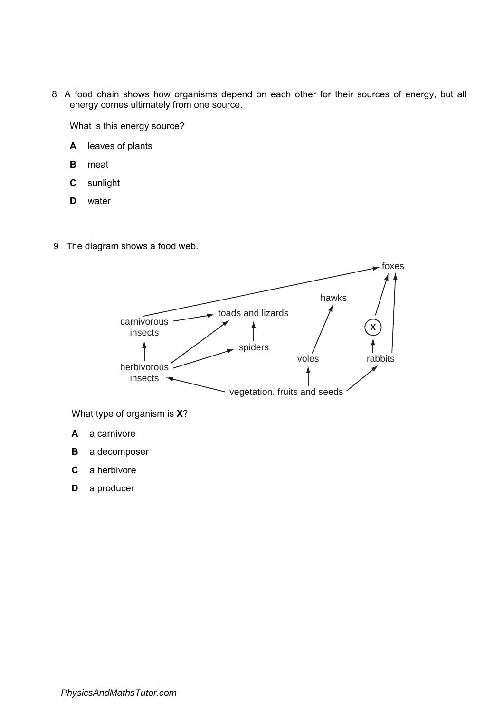8 A food chain shows how organisms depend on each other for their sources of energy, but all energy comes ultimately from one source.

What is this energy source?

- A leaves of plants
- B meat
- C sunlight
- D water
- 9 The diagram shows a food web.



What type of organism is X?

- A a carnivore
- **B** a decomposer
- C a herbivore
- **D** a producer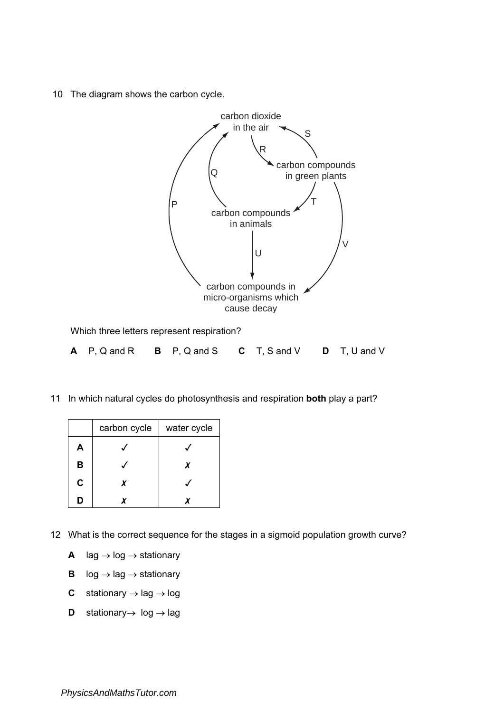10 The diagram shows the carbon cycle.



| A P, Q and R B P, Q and S C T, S and V D T, U and V |  |  |  |
|-----------------------------------------------------|--|--|--|
|                                                     |  |  |  |

11 In which natural cycles do photosynthesis and respiration **both** play a part?

|             | carbon cycle | water cycle |
|-------------|--------------|-------------|
| A           |              |             |
| В           |              | x           |
| $\mathbf c$ | x            |             |
| D           |              |             |

- 12 What is the correct sequence for the stages in a sigmoid population growth curve?
	- A  $\log \rightarrow \log \rightarrow$  stationary
	- **B**  $log \rightarrow$  lag  $\rightarrow$  stationary
	- C stationary  $\rightarrow$  lag  $\rightarrow$  log
	- D stationary → log → lag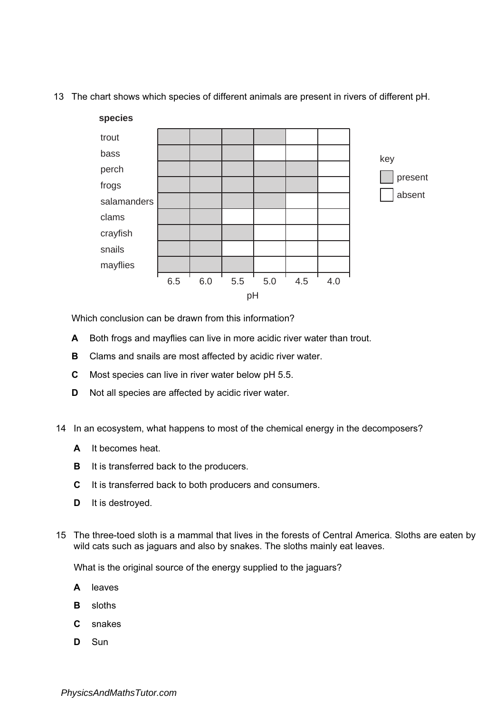13 The chart shows which species of different animals are present in rivers of different pH.



Which conclusion can be drawn from this information?

- A Both frogs and mayflies can live in more acidic river water than trout.
- **B** Clams and snails are most affected by acidic river water.
- C Most species can live in river water below pH 5.5.
- D Not all species are affected by acidic river water.
- 14 In an ecosystem, what happens to most of the chemical energy in the decomposers?
	- A It becomes heat.
	- **B** It is transferred back to the producers.
	- C It is transferred back to both producers and consumers.
	- D It is destroyed.
- 15 The three-toed sloth is a mammal that lives in the forests of Central America. Sloths are eaten by wild cats such as jaguars and also by snakes. The sloths mainly eat leaves.

What is the original source of the energy supplied to the jaguars?

- A leaves
- B sloths
- C snakes
- D Sun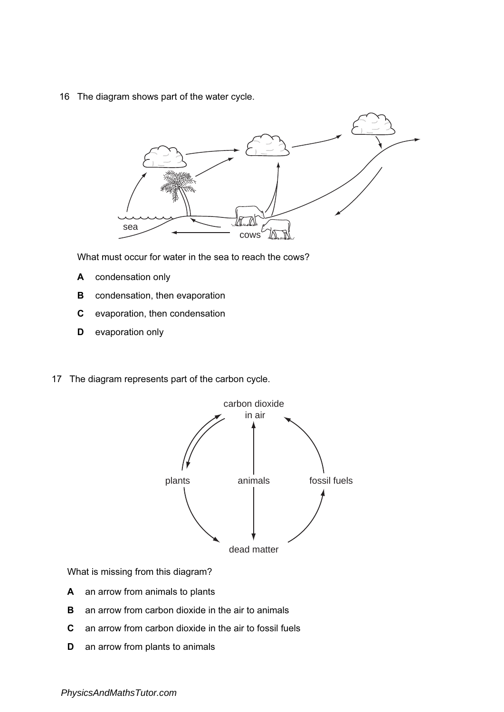16 The diagram shows part of the water cycle.



What must occur for water in the sea to reach the cows?

- A condensation only
- **B** condensation, then evaporation
- C evaporation, then condensation
- **D** evaporation only
- 17 The diagram represents part of the carbon cycle.



What is missing from this diagram?

- A an arrow from animals to plants
- **B** an arrow from carbon dioxide in the air to animals
- C an arrow from carbon dioxide in the air to fossil fuels
- **D** an arrow from plants to animals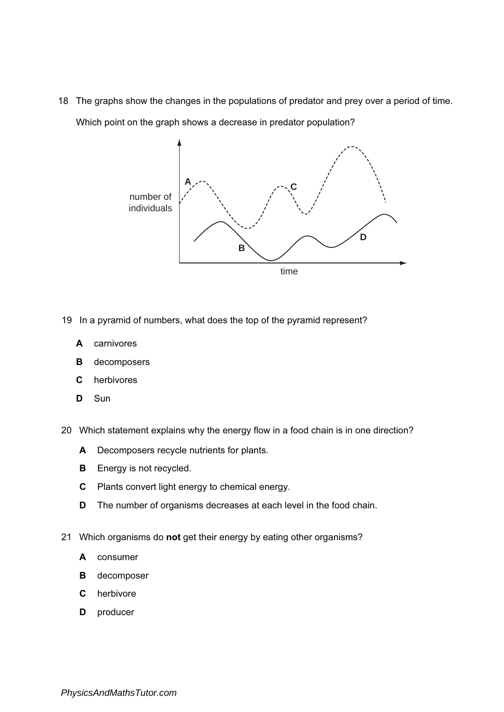18 The graphs show the changes in the populations of predator and prey over a period of time. Which point on the graph shows a decrease in predator population?



- 19 In a pyramid of numbers, what does the top of the pyramid represent?
	- A carnivores
	- B decomposers
	- C herbivores
	- D Sun
- 20 Which statement explains why the energy flow in a food chain is in one direction?
	- A Decomposers recycle nutrients for plants.
	- **B** Energy is not recycled.
	- C Plants convert light energy to chemical energy.
	- D The number of organisms decreases at each level in the food chain.
- 21 Which organisms do not get their energy by eating other organisms?
	- A consumer
	- **B** decomposer
	- C herbivore
	- **D** producer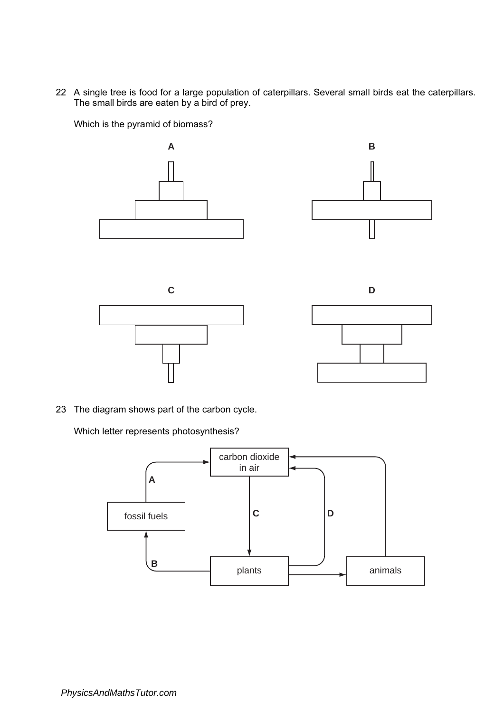22 A single tree is food for a large population of caterpillars. Several small birds eat the caterpillars. The small birds are eaten by a bird of prey.

Which is the pyramid of biomass?









23 The diagram shows part of the carbon cycle.

Which letter represents photosynthesis?

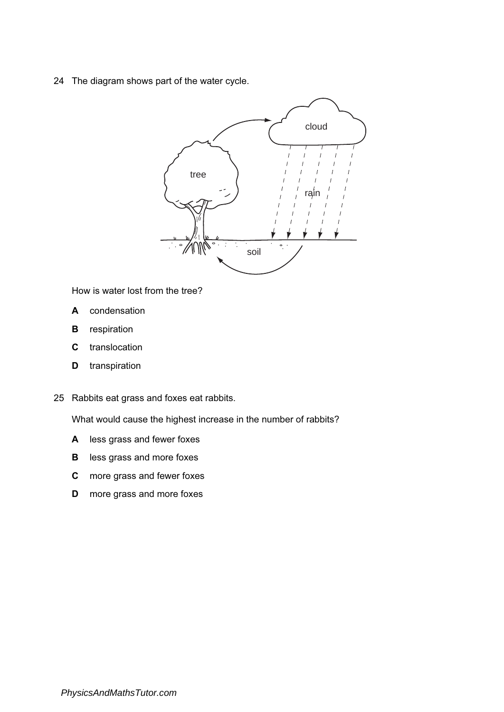24 The diagram shows part of the water cycle.



How is water lost from the tree?

- A condensation
- **B** respiration
- C translocation
- **D** transpiration
- 25 Rabbits eat grass and foxes eat rabbits.

What would cause the highest increase in the number of rabbits?

- A less grass and fewer foxes
- **B** less grass and more foxes
- C more grass and fewer foxes
- D more grass and more foxes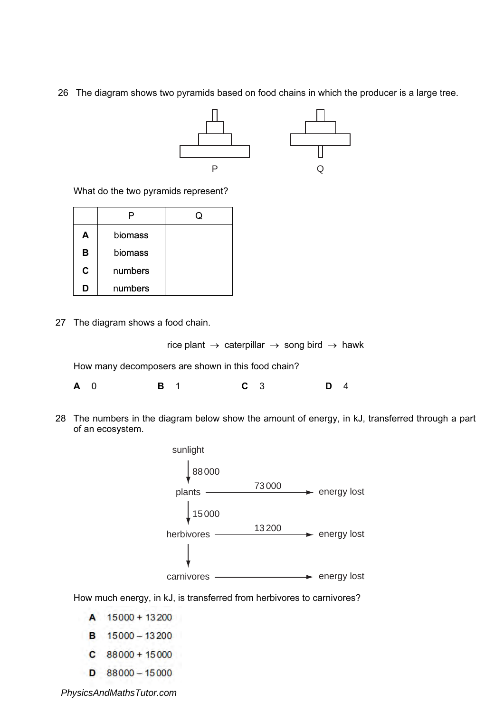26 The diagram shows two pyramids based on food chains in which the producer is a large tree.



What do the two pyramids represent?

| Α | biomass |  |
|---|---------|--|
| в | biomass |  |
| C | numbers |  |
| n | numbers |  |

27 The diagram shows a food chain.

rice plant  $\rightarrow$  caterpillar  $\rightarrow$  song bird  $\rightarrow$  hawk

How many decomposers are shown in this food chain?

**A** 0 **B** 1 **C** 3 **D** 4

28 The numbers in the diagram below show the amount of energy, in kJ, transferred through a part of an ecosystem.



How much energy, in kJ, is transferred from herbivores to carnivores?

A 15000 + 13200

- **B** 15000 13200
- $C$  88000 + 15000
- $D$  88000 15000

*PhysicsAndMathsTutor.com*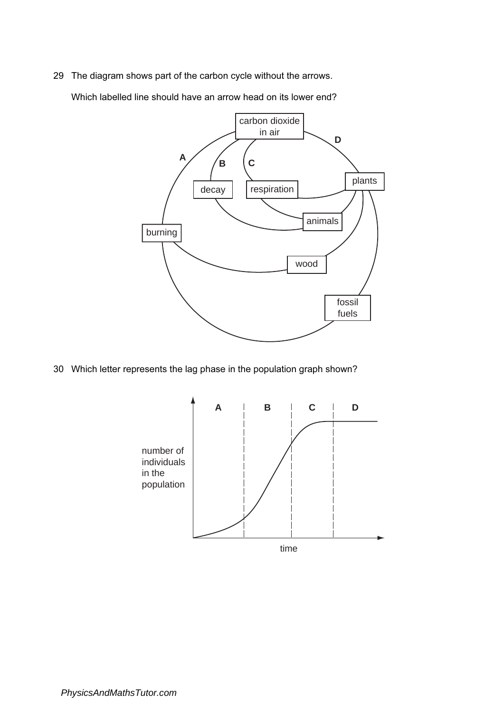29 The diagram shows part of the carbon cycle without the arrows.

Which labelled line should have an arrow head on its lower end?



30 Which letter represents the lag phase in the population graph shown?

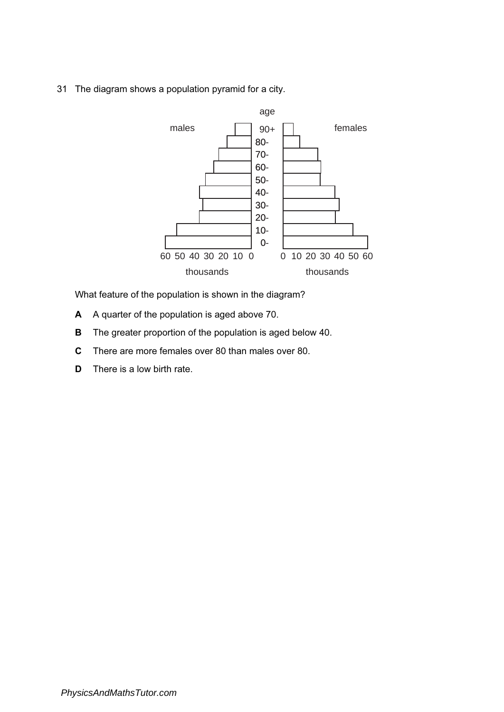31 The diagram shows a population pyramid for a city.



What feature of the population is shown in the diagram?

- A A quarter of the population is aged above 70.
- B The greater proportion of the population is aged below 40.
- C There are more females over 80 than males over 80.
- D There is a low birth rate.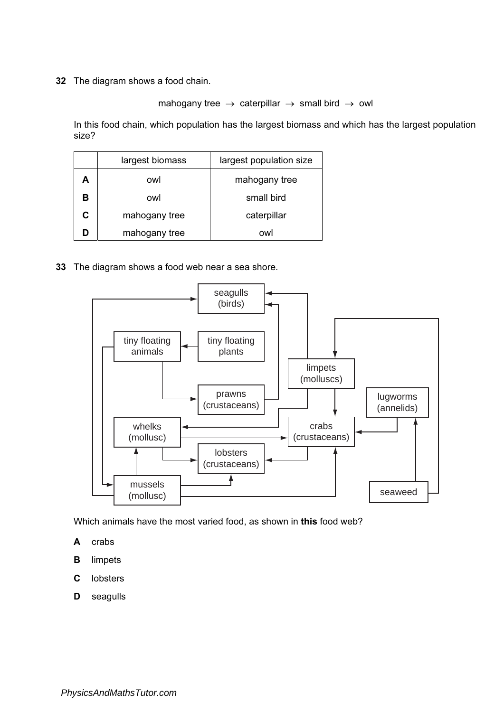## mahogany tree  $\rightarrow$  caterpillar  $\rightarrow$  small bird  $\rightarrow$  owl

In this food chain, which population has the largest biomass and which has the largest population size?

|    | largest biomass | largest population size |
|----|-----------------|-------------------------|
| А  | owl             | mahogany tree           |
| в  | owl             | small bird              |
| C. | mahogany tree   | caterpillar             |
|    | mahogany tree   | ∩wl                     |

33 The diagram shows a food web near a sea shore.



Which animals have the most varied food, as shown in this food web?

- A crabs
- B limpets
- C lobsters
- D seagulls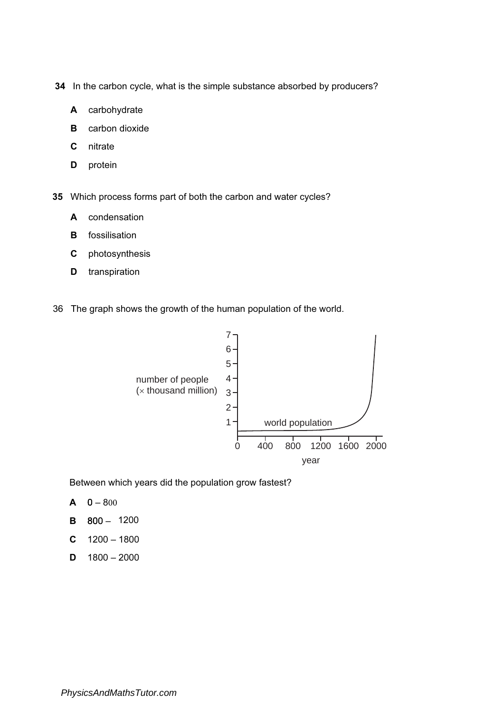34 In the carbon cycle, what is the simple substance absorbed by producers?

- A carbohydrate
- **B** carbon dioxide
- C nitrate
- D protein

35 Which process forms part of both the carbon and water cycles?

- A condensation
- **B** fossilisation
- C photosynthesis
- **D** transpiration
- 36 The graph shows the growth of the human population of the world.



Between which years did the population grow fastest?

- $A \quad 0 800$
- B 800 1200
- $C$  1200 1800
- $D$  1800 2000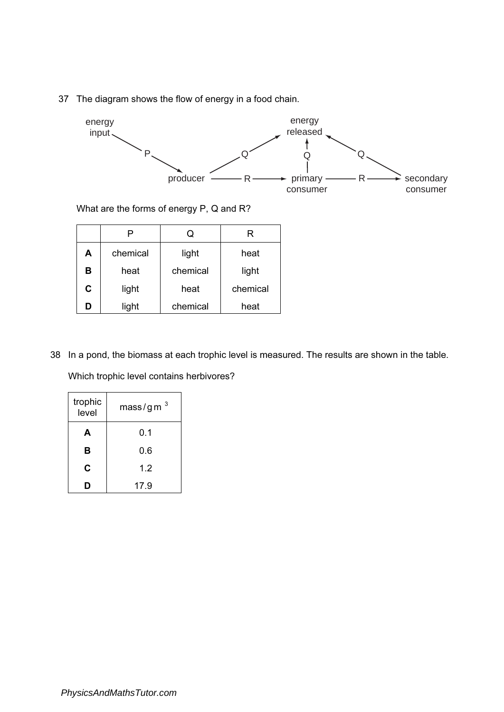37 The diagram shows the flow of energy in a food chain.



What are the forms of energy P, Q and R?

|   |          | Q        | ĸ        |
|---|----------|----------|----------|
| А | chemical | light    | heat     |
| в | heat     | chemical | light    |
| C | light    | heat     | chemical |
| D | light    | chemical | heat     |

38 In a pond, the biomass at each trophic level is measured. The results are shown in the table.

Which trophic level contains herbivores?

| trophic<br>level | mass/gm $3$ |
|------------------|-------------|
| A                | 0.1         |
| в                | 0.6         |
| C                | 1.2         |
|                  | 17.9        |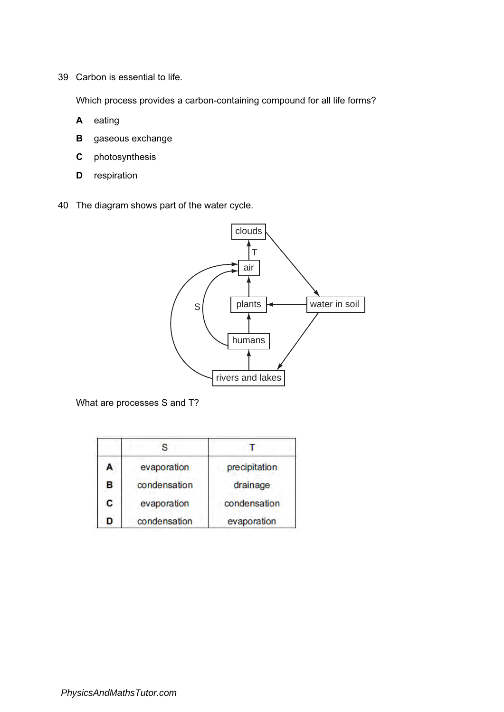39 Carbon is essential to life.

Which process provides a carbon-containing compound for all life forms?

- A eating
- **B** gaseous exchange
- C photosynthesis
- D respiration
- 40 The diagram shows part of the water cycle.



What are processes S and T?

| A  | evaporation  | precipitation |
|----|--------------|---------------|
| в  | condensation | drainage      |
| C. | evaporation  | condensation  |
| D  | condensation | evaporation   |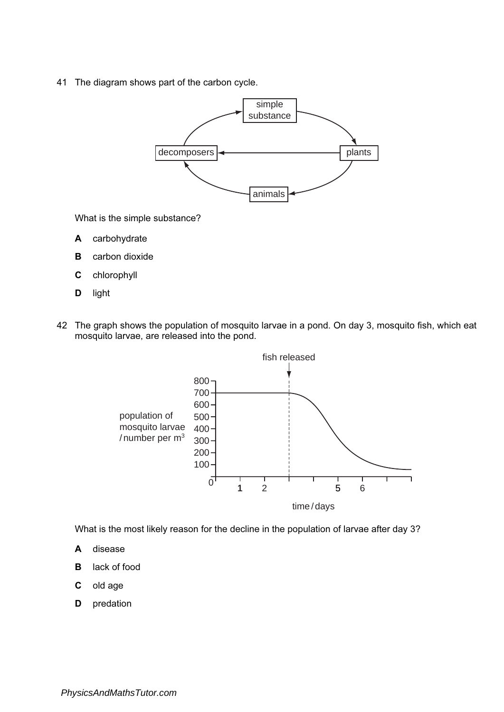41 The diagram shows part of the carbon cycle.



What is the simple substance?

- A carbohydrate
- **B** carbon dioxide
- C chlorophyll
- D light
- 42 The graph shows the population of mosquito larvae in a pond. On day 3, mosquito fish, which eat mosquito larvae, are released into the pond.



What is the most likely reason for the decline in the population of larvae after day 3?

- A disease
- B lack of food
- C old age
- **D** predation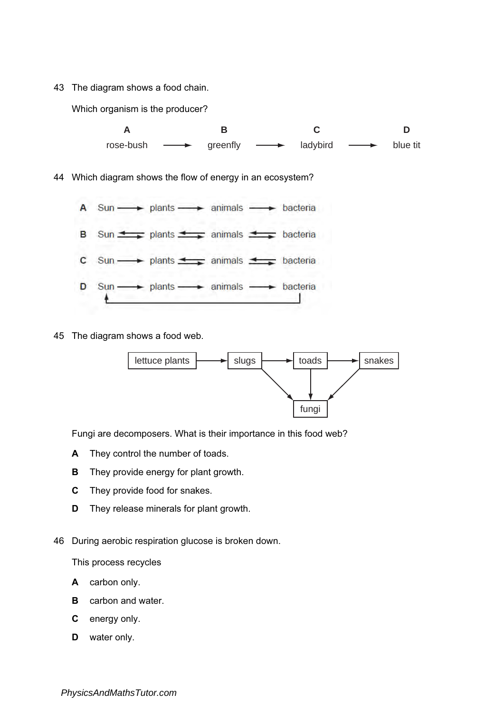Which organism is the producer?



45 The diagram shows a food web.



Fungi are decomposers. What is their importance in this food web?

- A They control the number of toads.
- **B** They provide energy for plant growth.
- C They provide food for snakes.
- **D** They release minerals for plant growth.
- 46 During aerobic respiration glucose is broken down.

This process recycles

- A carbon only.
- **B** carbon and water.
- C energy only.
- **D** water only.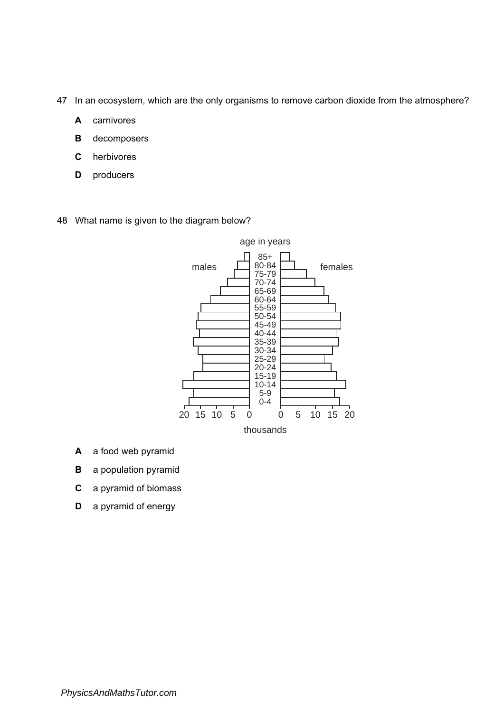- 47 In an ecosystem, which are the only organisms to remove carbon dioxide from the atmosphere?
	- A carnivores
	- B decomposers
	- C herbivores
	- D producers
- 48 What name is given to the diagram below?



- A a food web pyramid
- **B** a population pyramid
- C a pyramid of biomass
- D a pyramid of energy